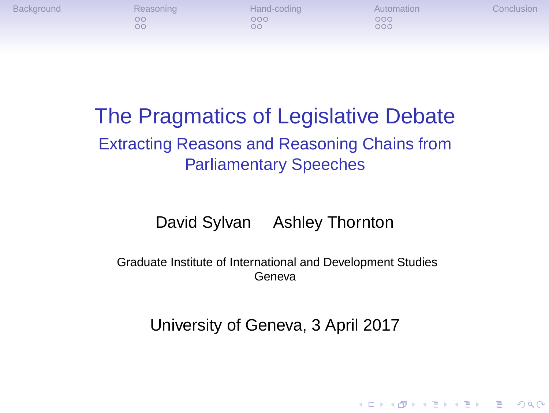

# The Pragmatics of Legislative Debate

Extracting Reasons and Reasoning Chains from Parliamentary Speeches

David Sylvan Ashley Thornton

Graduate Institute of International and Development Studies Geneva

University of Geneva, 3 April 2017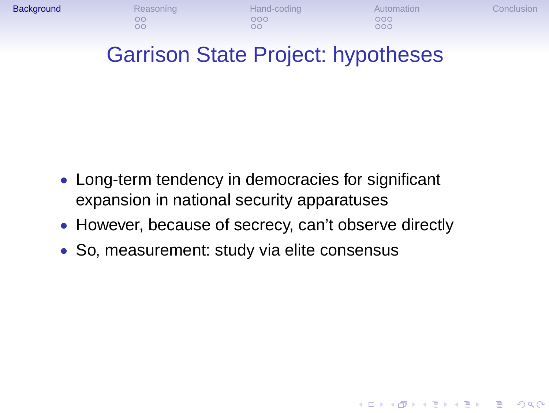

### • Long-term tendency in democracies for significant expansion in national security apparatuses

- However, because of secrecy, can't observe directly
- So, measurement: study via elite consensus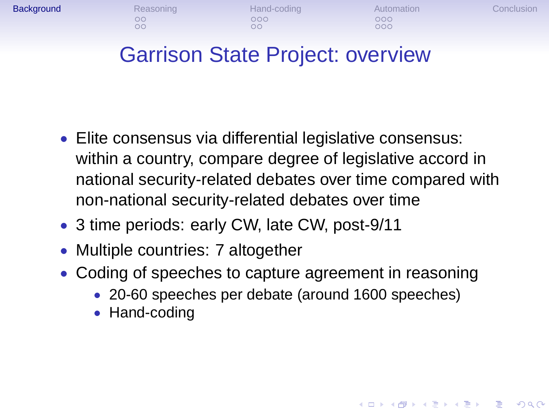

#### Garrison State Project: overview

- Elite consensus via differential legislative consensus: within a country, compare degree of legislative accord in national security-related debates over time compared with non-national security-related debates over time
- 3 time periods: early CW, late CW, post-9/11
- Multiple countries: 7 altogether
- Coding of speeches to capture agreement in reasoning
	- 20-60 speeches per debate (around 1600 speeches)
	- Hand-coding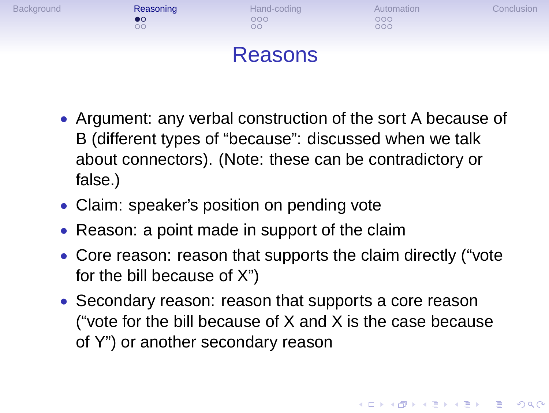

- Argument: any verbal construction of the sort A because of B (different types of "because": discussed when we talk about connectors). (Note: these can be contradictory or false.)
- Claim: speaker's position on pending vote
- Reason: a point made in support of the claim
- Core reason: reason that supports the claim directly ("vote for the bill because of X")
- Secondary reason: reason that supports a core reason ("vote for the bill because of X and X is the case because of Y") or another secondary reason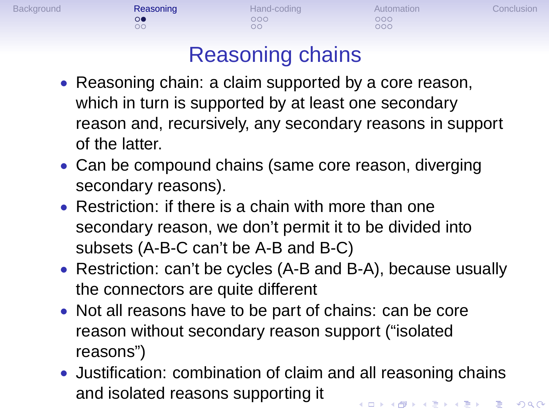# Background **Reasoning** Hand-coding Automation Conclusion<br>  $\begin{array}{cccc}\n & & & \\
\infty & & & \\
\infty & & & \\
\infty & & & \\
\infty & & & \\
\end{array}$

# Reasoning chains

- Reasoning chain: a claim supported by a core reason, which in turn is supported by at least one secondary reason and, recursively, any secondary reasons in support of the latter.
- Can be compound chains (same core reason, diverging secondary reasons).
- Restriction: if there is a chain with more than one secondary reason, we don't permit it to be divided into subsets (A-B-C can't be A-B and B-C)
- Restriction: can't be cycles (A-B and B-A), because usually the connectors are quite different
- Not all reasons have to be part of chains: can be core reason without secondary reason support ("isolated reasons")
- Justification: combination of claim and all reasoning chains and isolated reasons supporting it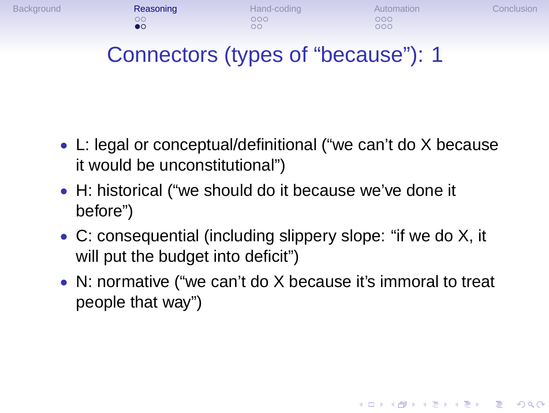

- L: legal or conceptual/definitional ("we can't do X because it would be unconstitutional")
- H: historical ("we should do it because we've done it before")
- C: consequential (including slippery slope: "if we do X, it will put the budget into deficit")
- N: normative ("we can't do X because it's immoral to treat people that way")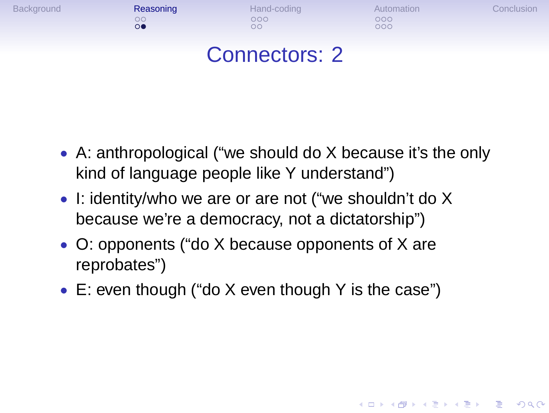

- A: anthropological ("we should do X because it's the only kind of language people like Y understand")
- I: identity/who we are or are not ("we shouldn't do X because we're a democracy, not a dictatorship")
- O: opponents ("do X because opponents of X are reprobates")
- E: even though ("do X even though Y is the case")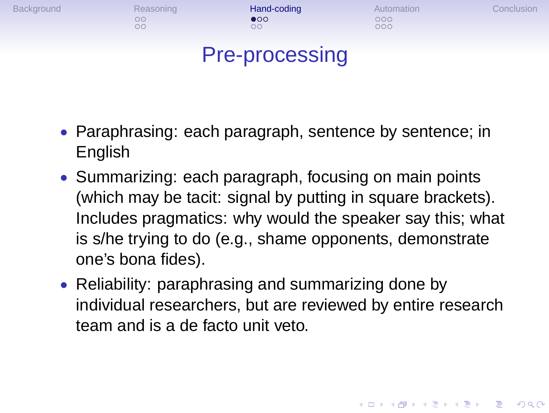

- Paraphrasing: each paragraph, sentence by sentence; in English
- Summarizing: each paragraph, focusing on main points (which may be tacit: signal by putting in square brackets). Includes pragmatics: why would the speaker say this; what is s/he trying to do (e.g., shame opponents, demonstrate one's bona fides).
- Reliability: paraphrasing and summarizing done by individual researchers, but are reviewed by entire research team and is a de facto unit veto.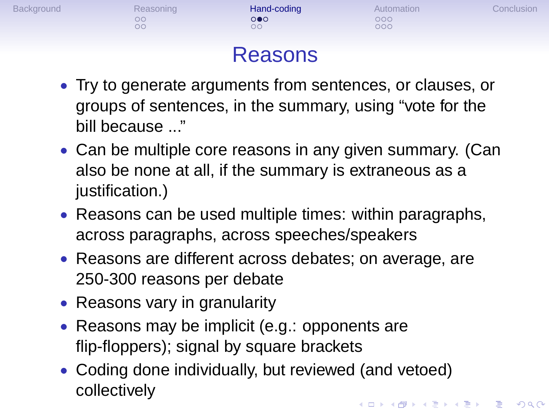

- groups of sentences, in the summary, using "vote for the bill because ..."
- Can be multiple core reasons in any given summary. (Can also be none at all, if the summary is extraneous as a justification.)
- Reasons can be used multiple times: within paragraphs, across paragraphs, across speeches/speakers
- Reasons are different across debates; on average, are 250-300 reasons per debate
- Reasons vary in granularity
- Reasons may be implicit (e.g.: opponents are flip-floppers); signal by square brackets
- Coding done individually, but reviewed (and vetoed) collectively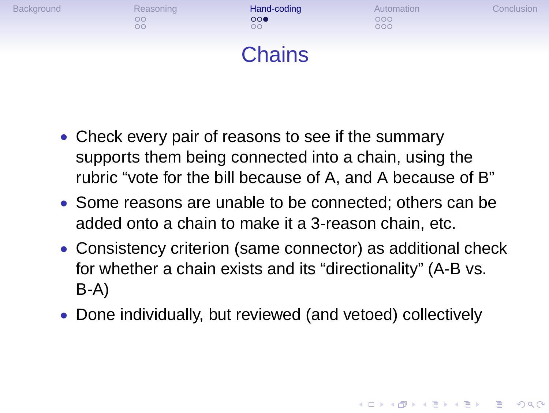

- Check every pair of reasons to see if the summary supports them being connected into a chain, using the rubric "vote for the bill because of A, and A because of B"
- Some reasons are unable to be connected; others can be added onto a chain to make it a 3-reason chain, etc.
- Consistency criterion (same connector) as additional check for whether a chain exists and its "directionality" (A-B vs. B-A)
- Done individually, but reviewed (and vetoed) collectively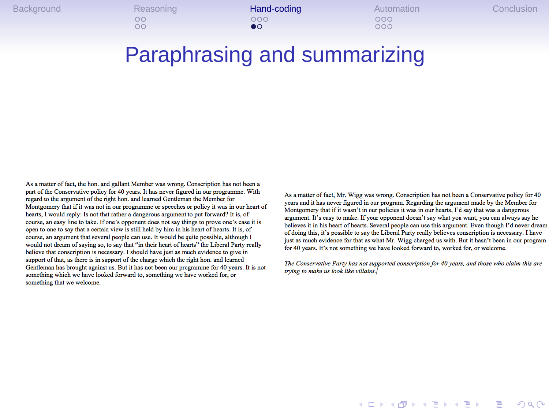# Background Reasoning **Hand-coding** Automation Conclusion<br>
oo oo oo oo oo oo oo<br>●●●

### Paraphrasing and summarizing

As a matter of fact, the hon. and gallant Member was wrong. Conscription has not been a part of the Conservative policy for 40 years. It has never figured in our programme. With regard to the argument of the right hon. an

As a matter of fact, Mr. Wigg was wrong. Conscription has not been a Conservative policy for 40 years and it has never figured in our program. Regarding the argument made by the Member for Montgomery that if it wasn't in

The Conservative Party has not supported conscription for 40 years, and those who claim this are trying to make us look like villains.  $\mid$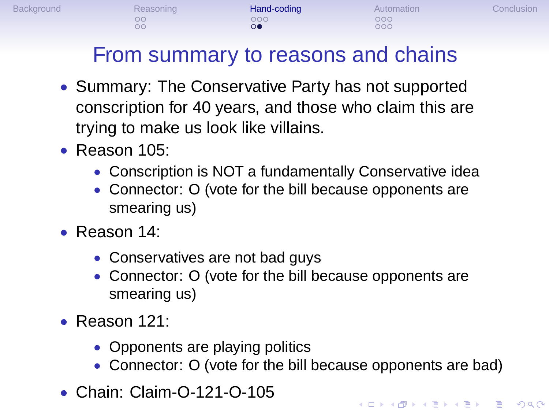## From summary to reasons and chains

Background Reasoning Hand-coding Automation Conclusion

- Summary: The Conservative Party has not supported conscription for 40 years, and those who claim this are trying to make us look like villains.
- Reason 105:
	- Conscription is NOT a fundamentally Conservative idea
	- Connector: O (vote for the bill because opponents are smearing us)
- Reason 14:
	- Conservatives are not bad guys
	- Connector: O (vote for the bill because opponents are smearing us)
- Reason 121:
	- Opponents are playing politics
	- Connector: O (vote for the bill because opponents are bad)
- Chain: Claim-O-121-O-105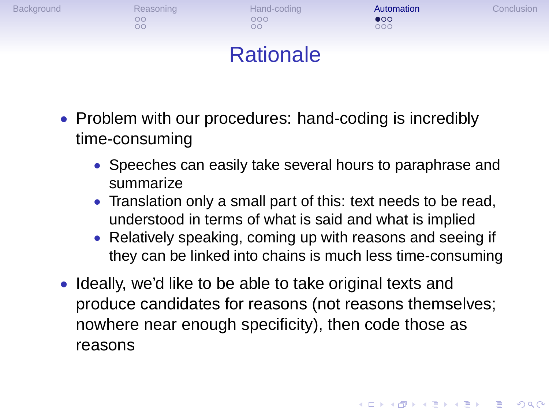

- Problem with our procedures: hand-coding is incredibly time-consuming
	- Speeches can easily take several hours to paraphrase and summarize
	- Translation only a small part of this: text needs to be read, understood in terms of what is said and what is implied
	- Relatively speaking, coming up with reasons and seeing if they can be linked into chains is much less time-consuming
- Ideally, we'd like to be able to take original texts and produce candidates for reasons (not reasons themselves; nowhere near enough specificity), then code those as reasons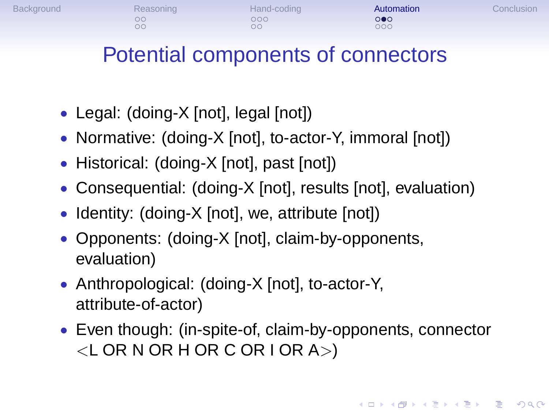# Potential components of connectors

Background Reasoning Hand-coding **Automation** Conclusion<br>
oo oo oo oo oo oo oo oo oo

- Legal: (doing-X [not], legal [not])
- Normative: (doing-X [not], to-actor-Y, immoral [not])
- Historical: (doing-X [not], past [not])
- Consequential: (doing-X [not], results [not], evaluation)
- Identity: (doing-X [not], we, attribute [not])
- Opponents: (doing-X [not], claim-by-opponents, evaluation)
- Anthropological: (doing-X [not], to-actor-Y, attribute-of-actor)
- Even though: (in-spite-of, claim-by-opponents, connector  $\lt$ L OR N OR H OR C OR I OR A $>$ )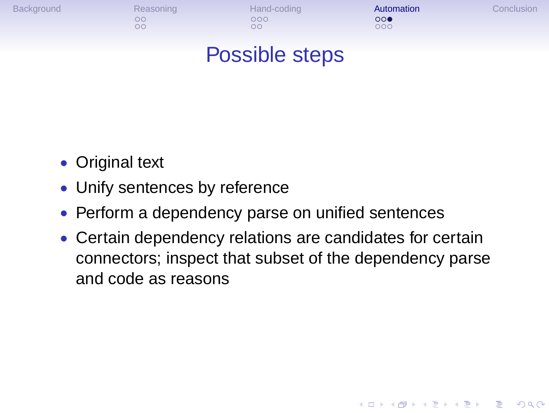

- Original text
- Unify sentences by reference
- Perform a dependency parse on unified sentences
- Certain dependency relations are candidates for certain connectors; inspect that subset of the dependency parse and code as reasons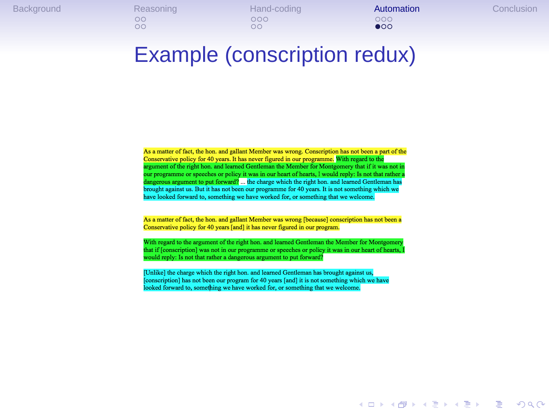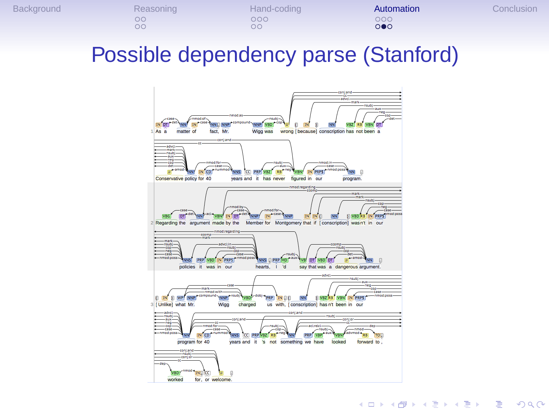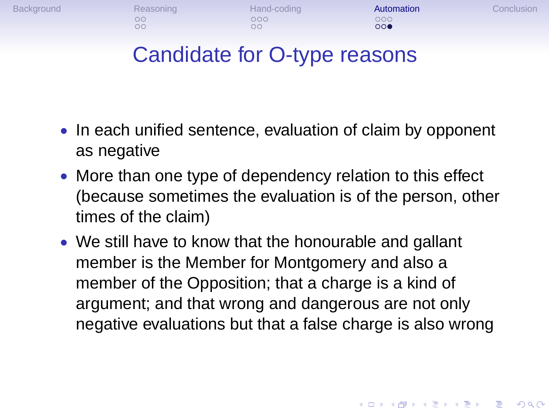

- In each unified sentence, evaluation of claim by opponent as negative
- More than one type of dependency relation to this effect (because sometimes the evaluation is of the person, other times of the claim)
- We still have to know that the honourable and gallant member is the Member for Montgomery and also a member of the Opposition; that a charge is a kind of argument; and that wrong and dangerous are not only negative evaluations but that a false charge is also wrong